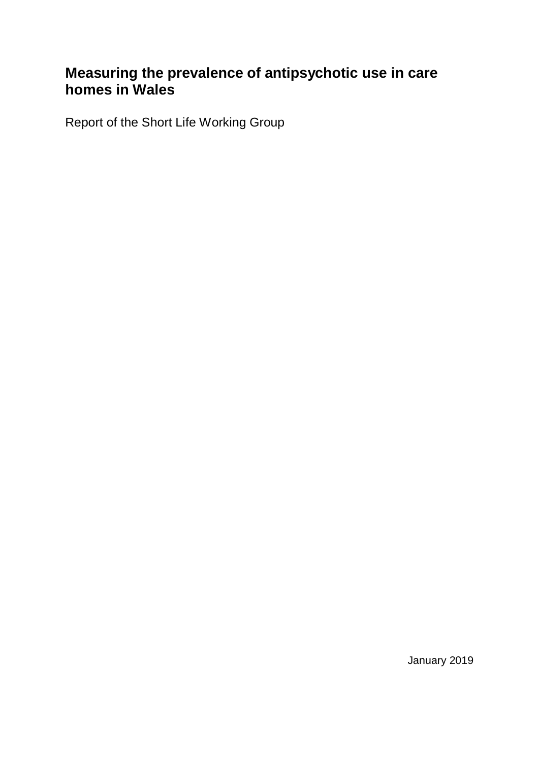# **Measuring the prevalence of antipsychotic use in care homes in Wales**

Report of the Short Life Working Group

January 2019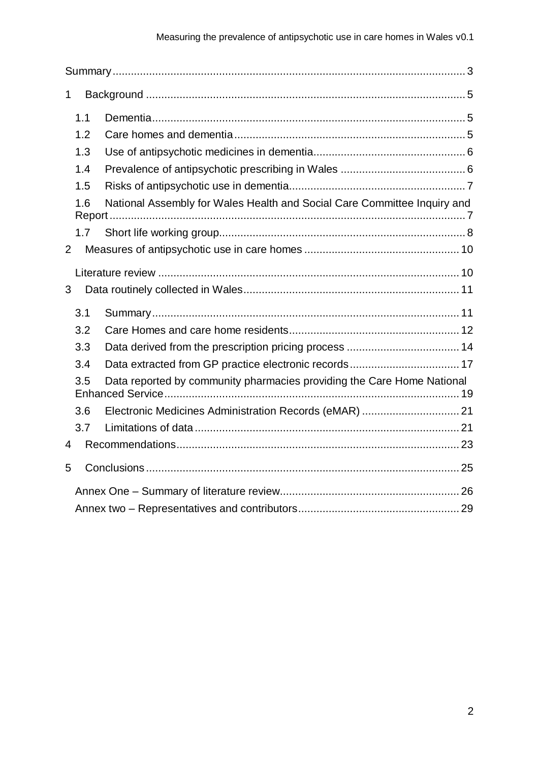| 1                                                                             |               |                                                                          |  |
|-------------------------------------------------------------------------------|---------------|--------------------------------------------------------------------------|--|
|                                                                               | 1.1           |                                                                          |  |
|                                                                               | 1.2           |                                                                          |  |
|                                                                               | 1.3           |                                                                          |  |
|                                                                               | 1.4           |                                                                          |  |
| 1.5                                                                           |               |                                                                          |  |
|                                                                               | 1.6<br>Report | National Assembly for Wales Health and Social Care Committee Inquiry and |  |
|                                                                               | 1.7           |                                                                          |  |
| $\overline{2}$                                                                |               |                                                                          |  |
|                                                                               |               |                                                                          |  |
| 3                                                                             |               |                                                                          |  |
|                                                                               | 3.1           |                                                                          |  |
|                                                                               | 3.2           |                                                                          |  |
|                                                                               | 3.3           |                                                                          |  |
|                                                                               | 3.4           |                                                                          |  |
| Data reported by community pharmacies providing the Care Home National<br>3.5 |               |                                                                          |  |
|                                                                               | 3.6           | Electronic Medicines Administration Records (eMAR)  21                   |  |
|                                                                               | 3.7           |                                                                          |  |
| 4                                                                             |               |                                                                          |  |
| 5                                                                             |               |                                                                          |  |
|                                                                               |               |                                                                          |  |
|                                                                               |               |                                                                          |  |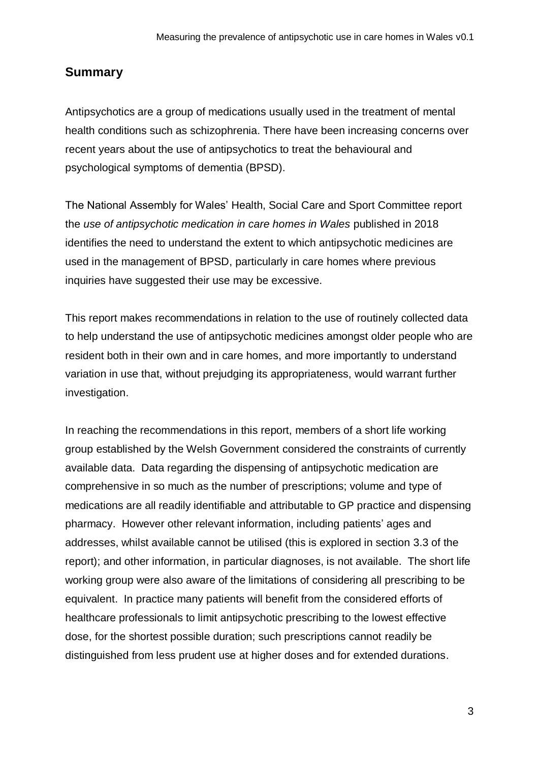### <span id="page-2-0"></span>**Summary**

Antipsychotics are a group of medications usually used in the treatment of mental health conditions such as schizophrenia. There have been increasing concerns over recent years about the use of antipsychotics to treat the behavioural and psychological symptoms of dementia (BPSD).

The National Assembly for Wales' Health, Social Care and Sport Committee report the *use of antipsychotic medication in care homes in Wales* published in 2018 identifies the need to understand the extent to which antipsychotic medicines are used in the management of BPSD, particularly in care homes where previous inquiries have suggested their use may be excessive.

This report makes recommendations in relation to the use of routinely collected data to help understand the use of antipsychotic medicines amongst older people who are resident both in their own and in care homes, and more importantly to understand variation in use that, without prejudging its appropriateness, would warrant further investigation.

In reaching the recommendations in this report, members of a short life working group established by the Welsh Government considered the constraints of currently available data. Data regarding the dispensing of antipsychotic medication are comprehensive in so much as the number of prescriptions; volume and type of medications are all readily identifiable and attributable to GP practice and dispensing pharmacy. However other relevant information, including patients' ages and addresses, whilst available cannot be utilised (this is explored in section 3.3 of the report); and other information, in particular diagnoses, is not available. The short life working group were also aware of the limitations of considering all prescribing to be equivalent. In practice many patients will benefit from the considered efforts of healthcare professionals to limit antipsychotic prescribing to the lowest effective dose, for the shortest possible duration; such prescriptions cannot readily be distinguished from less prudent use at higher doses and for extended durations.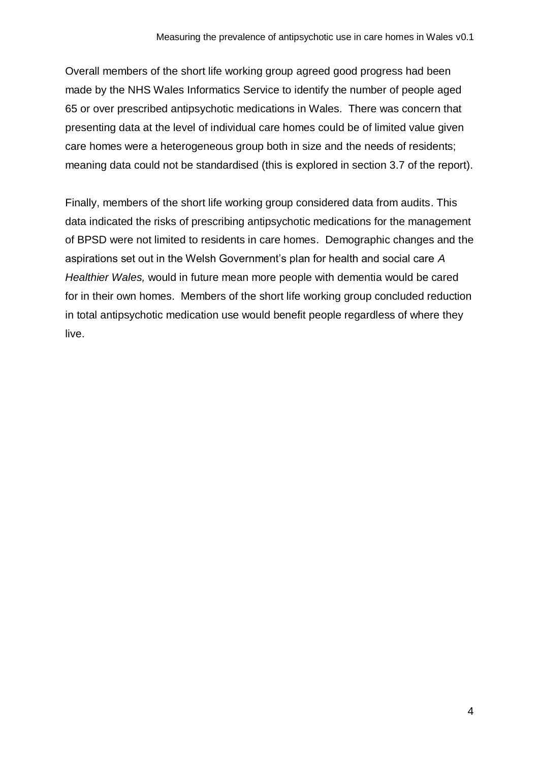Overall members of the short life working group agreed good progress had been made by the NHS Wales Informatics Service to identify the number of people aged 65 or over prescribed antipsychotic medications in Wales. There was concern that presenting data at the level of individual care homes could be of limited value given care homes were a heterogeneous group both in size and the needs of residents; meaning data could not be standardised (this is explored in section 3.7 of the report).

Finally, members of the short life working group considered data from audits. This data indicated the risks of prescribing antipsychotic medications for the management of BPSD were not limited to residents in care homes. Demographic changes and the aspirations set out in the Welsh Government's plan for health and social care *A Healthier Wales,* would in future mean more people with dementia would be cared for in their own homes. Members of the short life working group concluded reduction in total antipsychotic medication use would benefit people regardless of where they live.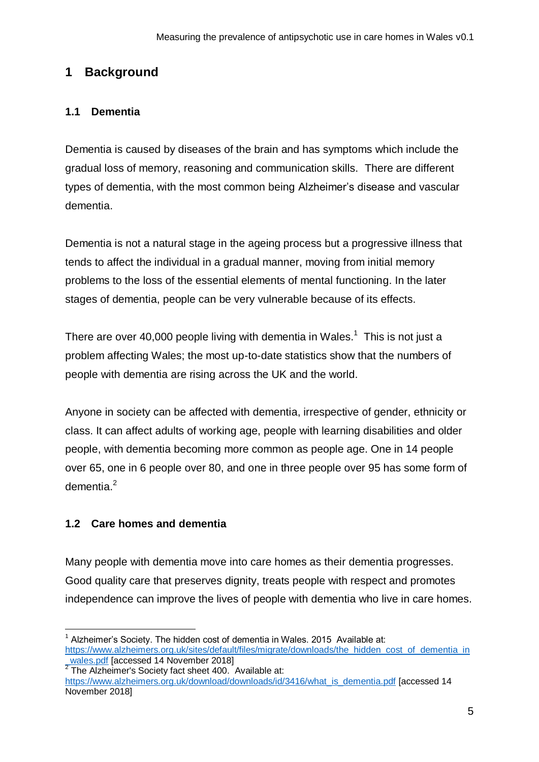## <span id="page-4-0"></span>**1 Background**

#### <span id="page-4-1"></span>**1.1 Dementia**

Dementia is caused by diseases of the brain and has symptoms which include the gradual loss of memory, reasoning and communication skills. There are different types of dementia, with the most common being Alzheimer's disease and vascular dementia.

Dementia is not a natural stage in the ageing process but a progressive illness that tends to affect the individual in a gradual manner, moving from initial memory problems to the loss of the essential elements of mental functioning. In the later stages of dementia, people can be very vulnerable because of its effects.

There are over 40,000 people living with dementia in Wales.<sup>1</sup> This is not just a problem affecting Wales; the most up-to-date statistics show that the numbers of people with dementia are rising across the UK and the world.

Anyone in society can be affected with dementia, irrespective of gender, ethnicity or class. It can affect adults of working age, people with learning disabilities and older people, with dementia becoming more common as people age. One in 14 people over 65, one in 6 people over 80, and one in three people over 95 has some form of dementia. 2

### <span id="page-4-2"></span>**1.2 Care homes and dementia**

1

Many people with dementia move into care homes as their dementia progresses. Good quality care that preserves dignity, treats people with respect and promotes independence can improve the lives of people with dementia who live in care homes.

 $1$  Alzheimer's Society. The hidden cost of dementia in Wales. 2015 Available at: [https://www.alzheimers.org.uk/sites/default/files/migrate/downloads/the\\_hidden\\_cost\\_of\\_dementia\\_in](https://www.alzheimers.org.uk/sites/default/files/migrate/downloads/the_hidden_cost_of_dementia_in_wales.pdf) wales.pdf [accessed 14 November 2018]

 $2$  The Alzheimer's Society fact sheet 400. Available at:

[https://www.alzheimers.org.uk/download/downloads/id/3416/what\\_is\\_dementia.pdf](https://www.alzheimers.org.uk/download/downloads/id/3416/what_is_dementia.pdf) [accessed 14 November 2018]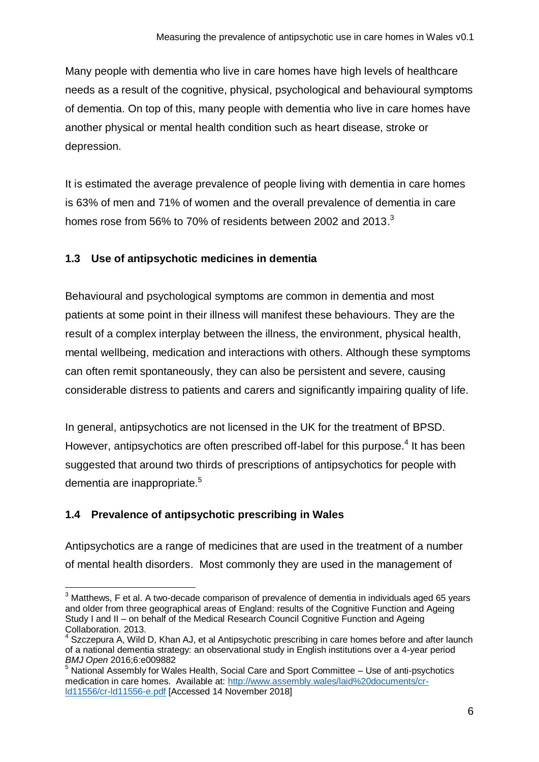Many people with dementia who live in care homes have high levels of healthcare needs as a result of the cognitive, physical, psychological and behavioural symptoms of dementia. On top of this, many people with dementia who live in care homes have another physical or mental health condition such as heart disease, stroke or depression.

It is estimated the average prevalence of people living with dementia in care homes is 63% of men and 71% of women and the overall prevalence of dementia in care homes rose from 56% to 70% of residents between 2002 and 2013. $3$ 

#### <span id="page-5-0"></span>**1.3 Use of antipsychotic medicines in dementia**

Behavioural and psychological symptoms are common in dementia and most patients at some point in their illness will manifest these behaviours. They are the result of a complex interplay between the illness, the environment, physical health, mental wellbeing, medication and interactions with others. Although these symptoms can often remit spontaneously, they can also be persistent and severe, causing considerable distress to patients and carers and significantly impairing quality of life.

In general, antipsychotics are not licensed in the UK for the treatment of BPSD. However, antipsychotics are often prescribed off-label for this purpose.<sup>4</sup> It has been suggested that around two thirds of prescriptions of antipsychotics for people with dementia are inappropriate.<sup>5</sup>

### <span id="page-5-1"></span>**1.4 Prevalence of antipsychotic prescribing in Wales**

Antipsychotics are a range of medicines that are used in the treatment of a number of mental health disorders. Most commonly they are used in the management of

<sup>1</sup>  $3$  Matthews, F et al. A two-decade comparison of prevalence of dementia in individuals aged 65 years and older from three geographical areas of England: results of the Cognitive Function and Ageing Study I and II – on behalf of the Medical Research Council Cognitive Function and Ageing Collaboration. 2013.

Szczepura A, Wild D, Khan AJ, et al Antipsychotic prescribing in care homes before and after launch of a national dementia strategy: an observational study in English institutions over a 4-year period *BMJ Open* 2016;6:e009882

<sup>&</sup>lt;sup>5</sup> National Assembly for Wales Health, Social Care and Sport Committee – Use of anti-psychotics medication in care homes. Available at: [http://www.assembly.wales/laid%20documents/cr](http://www.assembly.wales/laid%20documents/cr-ld11556/cr-ld11556-e.pdf)[ld11556/cr-ld11556-e.pdf](http://www.assembly.wales/laid%20documents/cr-ld11556/cr-ld11556-e.pdf) [Accessed 14 November 2018]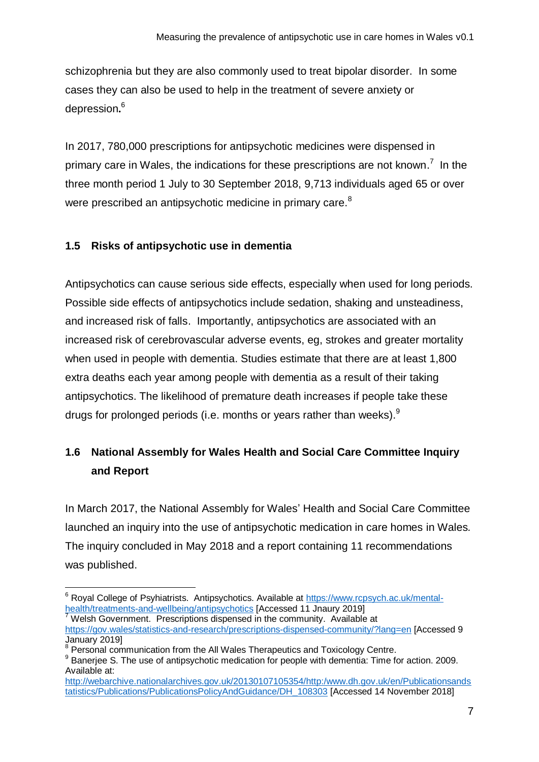schizophrenia but they are also commonly used to treat bipolar disorder. In some cases they can also be used to help in the treatment of severe anxiety or depression**.** 6

In 2017, 780,000 prescriptions for antipsychotic medicines were dispensed in primary care in Wales, the indications for these prescriptions are not known.<sup>7</sup> In the three month period 1 July to 30 September 2018, 9,713 individuals aged 65 or over were prescribed an antipsychotic medicine in primary care.<sup>8</sup>

#### <span id="page-6-0"></span>**1.5 Risks of antipsychotic use in dementia**

Antipsychotics can cause serious side effects, especially when used for long periods. Possible side effects of antipsychotics include sedation, shaking and unsteadiness, and increased risk of falls. Importantly, antipsychotics are associated with an increased risk of cerebrovascular adverse events, eg, strokes and greater mortality when used in people with dementia. Studies estimate that there are at least 1,800 extra deaths each year among people with dementia as a result of their taking antipsychotics. The likelihood of premature death increases if people take these drugs for prolonged periods (i.e. months or years rather than weeks). $9$ 

# <span id="page-6-1"></span>**1.6 National Assembly for Wales Health and Social Care Committee Inquiry and Report**

In March 2017, the National Assembly for Wales' Health and Social Care Committee launched an inquiry into the use of antipsychotic medication in care homes in Wales*.*  The inquiry concluded in May 2018 and a [report](http://www.assembly.wales/laid%20documents/cr-ld11556/cr-ld11556-e.pdf) containing 11 recommendations was published.

1

<sup>&</sup>lt;sup>6</sup> Royal College of Psyhiatrists. Antipsychotics. Available at [https://www.rcpsych.ac.uk/mental](https://www.rcpsych.ac.uk/mental-health/treatments-and-wellbeing/antipsychotics)[health/treatments-and-wellbeing/antipsychotics](https://www.rcpsych.ac.uk/mental-health/treatments-and-wellbeing/antipsychotics) [Accessed 11 Jnaury 2019]

Welsh Government. Prescriptions dispensed in the community. Available at <https://gov.wales/statistics-and-research/prescriptions-dispensed-community/?lang=en> [Accessed 9 January 2019]

<sup>&</sup>lt;sup>8</sup> Personal communication from the All Wales Therapeutics and Toxicology Centre.

<sup>&</sup>lt;sup>9</sup> Banerjee S. The use of antipsychotic medication for people with dementia: Time for action. 2009. Available at:

[http://webarchive.nationalarchives.gov.uk/20130107105354/http:/www.dh.gov.uk/en/Publicationsands](http://webarchive.nationalarchives.gov.uk/20130107105354/http:/www.dh.gov.uk/en/Publicationsandstatistics/Publications/PublicationsPolicyAndGuidance/DH_108303) [tatistics/Publications/PublicationsPolicyAndGuidance/DH\\_108303](http://webarchive.nationalarchives.gov.uk/20130107105354/http:/www.dh.gov.uk/en/Publicationsandstatistics/Publications/PublicationsPolicyAndGuidance/DH_108303) [Accessed 14 November 2018]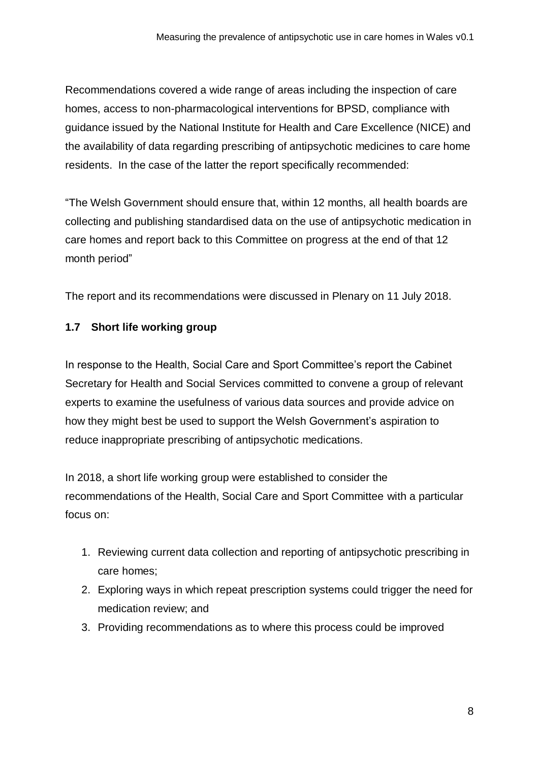Recommendations covered a wide range of areas including the inspection of care homes, access to non-pharmacological interventions for BPSD, compliance with guidance issued by the National Institute for Health and Care Excellence (NICE) and the availability of data regarding prescribing of antipsychotic medicines to care home residents. In the case of the latter the report specifically recommended:

"The Welsh Government should ensure that, within 12 months, all health boards are collecting and publishing standardised data on the use of antipsychotic medication in care homes and report back to this Committee on progress at the end of that 12 month period"

The report and its recommendations were discussed in Plenary on 11 July 2018.

### <span id="page-7-0"></span>**1.7 Short life working group**

In response to the Health, Social Care and Sport Committee's report the Cabinet Secretary for Health and Social Services committed to convene a group of relevant experts to examine the usefulness of various data sources and provide advice on how they might best be used to support the Welsh Government's aspiration to reduce inappropriate prescribing of antipsychotic medications.

In 2018, a short life working group were established to consider the recommendations of the Health, Social Care and Sport Committee with a particular focus on:

- 1. Reviewing current data collection and reporting of antipsychotic prescribing in care homes;
- 2. Exploring ways in which repeat prescription systems could trigger the need for medication review; and
- 3. Providing recommendations as to where this process could be improved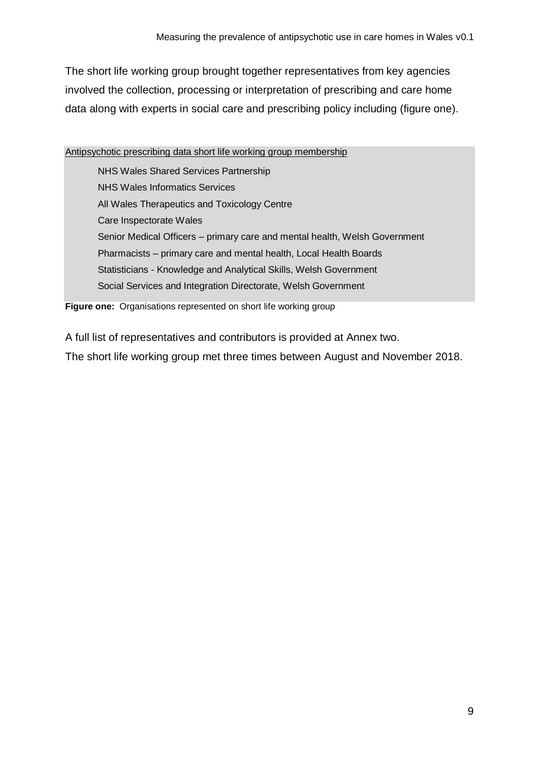The short life working group brought together representatives from key agencies involved the collection, processing or interpretation of prescribing and care home data along with experts in social care and prescribing policy including (figure one).

Antipsychotic prescribing data short life working group membership

NHS Wales Shared Services Partnership NHS Wales Informatics Services All Wales Therapeutics and Toxicology Centre Care Inspectorate Wales Senior Medical Officers – primary care and mental health, Welsh Government Pharmacists – primary care and mental health, Local Health Boards Statisticians - Knowledge and Analytical Skills, Welsh Government Social Services and Integration Directorate, Welsh Government

**Figure one:** Organisations represented on short life working group

A full list of representatives and contributors is provided at Annex two.

The short life working group met three times between August and November 2018.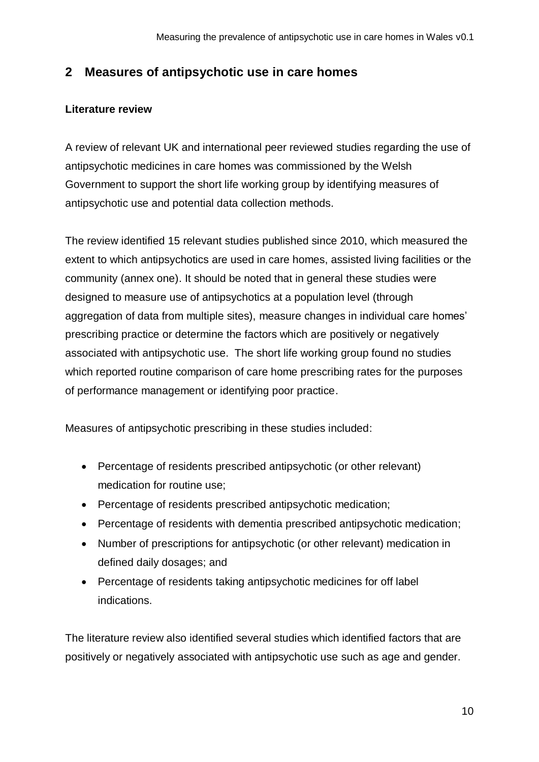## <span id="page-9-0"></span>**2 Measures of antipsychotic use in care homes**

#### <span id="page-9-1"></span>**Literature review**

A review of relevant UK and international peer reviewed studies regarding the use of antipsychotic medicines in care homes was commissioned by the Welsh Government to support the short life working group by identifying measures of antipsychotic use and potential data collection methods.

The review identified 15 relevant studies published since 2010, which measured the extent to which antipsychotics are used in care homes, assisted living facilities or the community (annex one). It should be noted that in general these studies were designed to measure use of antipsychotics at a population level (through aggregation of data from multiple sites), measure changes in individual care homes' prescribing practice or determine the factors which are positively or negatively associated with antipsychotic use. The short life working group found no studies which reported routine comparison of care home prescribing rates for the purposes of performance management or identifying poor practice.

Measures of antipsychotic prescribing in these studies included:

- Percentage of residents prescribed antipsychotic (or other relevant) medication for routine use;
- Percentage of residents prescribed antipsychotic medication;
- Percentage of residents with dementia prescribed antipsychotic medication;
- Number of prescriptions for antipsychotic (or other relevant) medication in defined daily dosages; and
- Percentage of residents taking antipsychotic medicines for off label indications.

The literature review also identified several studies which identified factors that are positively or negatively associated with antipsychotic use such as age and gender.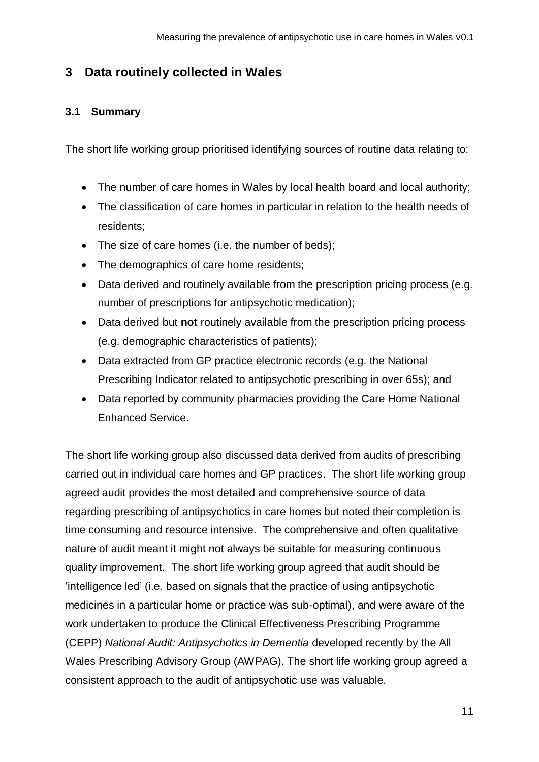### <span id="page-10-0"></span>**3 Data routinely collected in Wales**

#### <span id="page-10-1"></span>**3.1 Summary**

The short life working group prioritised identifying sources of routine data relating to:

- The number of care homes in Wales by local health board and local authority;
- The classification of care homes in particular in relation to the health needs of residents;
- The size of care homes (i.e. the number of beds);
- The demographics of care home residents;
- Data derived and routinely available from the prescription pricing process (e.g. number of prescriptions for antipsychotic medication);
- Data derived but **not** routinely available from the prescription pricing process (e.g. demographic characteristics of patients);
- Data extracted from GP practice electronic records (e.g. the National Prescribing Indicator related to antipsychotic prescribing in over 65s); and
- Data reported by community pharmacies providing the Care Home National Enhanced Service.

The short life working group also discussed data derived from audits of prescribing carried out in individual care homes and GP practices. The short life working group agreed audit provides the most detailed and comprehensive source of data regarding prescribing of antipsychotics in care homes but noted their completion is time consuming and resource intensive. The comprehensive and often qualitative nature of audit meant it might not always be suitable for measuring continuous quality improvement. The short life working group agreed that audit should be 'intelligence led' (i.e. based on signals that the practice of using antipsychotic medicines in a particular home or practice was sub-optimal), and were aware of the work undertaken to produce the Clinical Effectiveness Prescribing Programme (CEPP) *National Audit: Antipsychotics in Dementia* developed recently by the All Wales Prescribing Advisory Group (AWPAG). The short life working group agreed a consistent approach to the audit of antipsychotic use was valuable.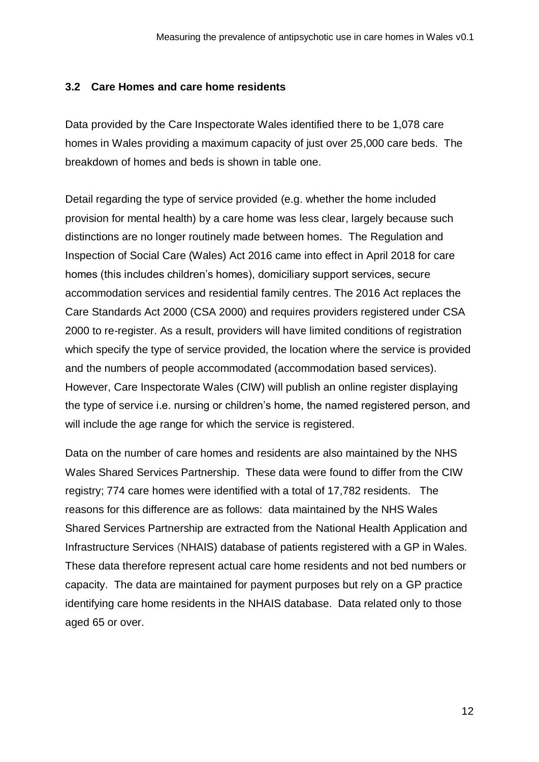#### <span id="page-11-0"></span>**3.2 Care Homes and care home residents**

Data provided by the Care Inspectorate Wales identified there to be 1,078 care homes in Wales providing a maximum capacity of just over 25,000 care beds. The breakdown of homes and beds is shown in table one.

Detail regarding the type of service provided (e.g. whether the home included provision for mental health) by a care home was less clear, largely because such distinctions are no longer routinely made between homes. The Regulation and Inspection of Social Care (Wales) Act 2016 came into effect in April 2018 for care homes (this includes children's homes), domiciliary support services, secure accommodation services and residential family centres. The 2016 Act replaces the Care Standards Act 2000 (CSA 2000) and requires providers registered under CSA 2000 to re-register. As a result, providers will have limited conditions of registration which specify the type of service provided, the location where the service is provided and the numbers of people accommodated (accommodation based services). However, Care Inspectorate Wales (CIW) will publish an online register displaying the type of service i.e. nursing or children's home, the named registered person, and will include the age range for which the service is registered.

Data on the number of care homes and residents are also maintained by the NHS Wales Shared Services Partnership. These data were found to differ from the CIW registry; 774 care homes were identified with a total of 17,782 residents. The reasons for this difference are as follows: data maintained by the NHS Wales Shared Services Partnership are extracted from the National Health Application and Infrastructure Services (NHAIS) database of patients registered with a GP in Wales. These data therefore represent actual care home residents and not bed numbers or capacity. The data are maintained for payment purposes but rely on a GP practice identifying care home residents in the NHAIS database. Data related only to those aged 65 or over.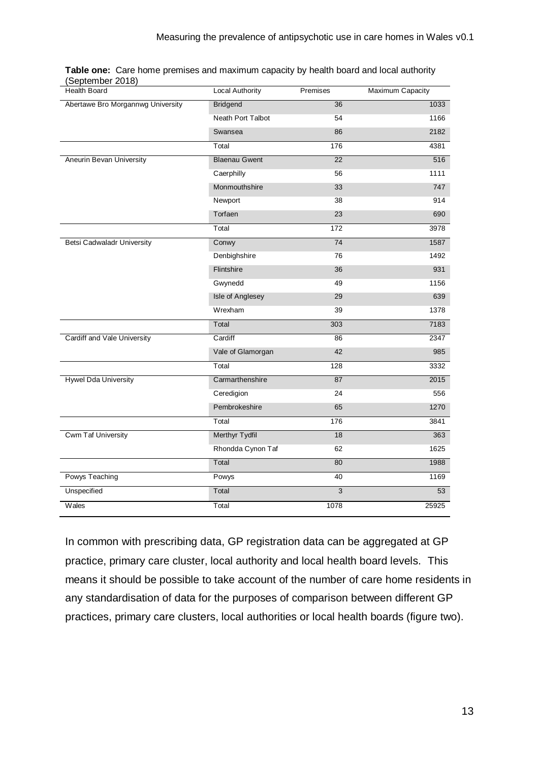| Health Board                      | <b>Local Authority</b>   | Premises       | Maximum Capacity |
|-----------------------------------|--------------------------|----------------|------------------|
| Abertawe Bro Morgannwg University | <b>Bridgend</b>          | 36             | 1033             |
|                                   | <b>Neath Port Talbot</b> | 54             | 1166             |
|                                   | Swansea                  | 86             | 2182             |
|                                   | Total                    | 176            | 4381             |
| Aneurin Bevan University          | <b>Blaenau Gwent</b>     | 22             | 516              |
|                                   | Caerphilly               | 56             | 1111             |
|                                   | Monmouthshire            | 33             | 747              |
|                                   | Newport                  | 38             | 914              |
|                                   | Torfaen                  | 23             | 690              |
|                                   | Total                    | 172            | 3978             |
| <b>Betsi Cadwaladr University</b> | Conwy                    | 74             | 1587             |
|                                   | Denbighshire             | 76             | 1492             |
|                                   | Flintshire               | 36             | 931              |
|                                   | Gwynedd                  | 49             | 1156             |
|                                   | Isle of Anglesey         | 29             | 639              |
|                                   | Wrexham                  | 39             | 1378             |
|                                   | Total                    | 303            | 7183             |
| Cardiff and Vale University       | Cardiff                  | 86             | 2347             |
|                                   | Vale of Glamorgan        | 42             | 985              |
|                                   | Total                    | 128            | 3332             |
| <b>Hywel Dda University</b>       | Carmarthenshire          | 87             | 2015             |
|                                   | Ceredigion               | 24             | 556              |
|                                   | Pembrokeshire            | 65             | 1270             |
|                                   | Total                    | 176            | 3841             |
| <b>Cwm Taf University</b>         | <b>Merthyr Tydfil</b>    | 18             | 363              |
|                                   | Rhondda Cynon Taf        | 62             | 1625             |
|                                   | Total                    | 80             | 1988             |
| Powys Teaching                    | Powys                    | 40             | 1169             |
| Unspecified                       | Total                    | $\overline{3}$ | 53               |
| Wales                             | Total                    | 1078           | 25925            |

|                  | Table one: Care home premises and maximum capacity by health board and local authority |
|------------------|----------------------------------------------------------------------------------------|
| (September 2018) |                                                                                        |

In common with prescribing data, GP registration data can be aggregated at GP practice, primary care cluster, local authority and local health board levels. This means it should be possible to take account of the number of care home residents in any standardisation of data for the purposes of comparison between different GP practices, primary care clusters, local authorities or local health boards (figure two).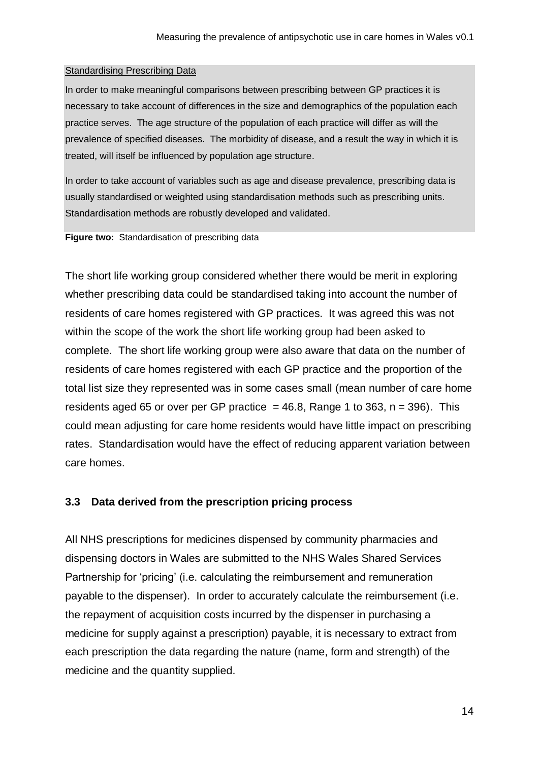#### Standardising Prescribing Data

In order to make meaningful comparisons between prescribing between GP practices it is necessary to take account of differences in the size and demographics of the population each practice serves. The age structure of the population of each practice will differ as will the prevalence of specified diseases. The morbidity of disease, and a result the way in which it is treated, will itself be influenced by population age structure.

In order to take account of variables such as age and disease prevalence, prescribing data is usually standardised or weighted using standardisation methods such as prescribing units. Standardisation methods are robustly developed and validated.

**Figure two:** Standardisation of prescribing data

The short life working group considered whether there would be merit in exploring whether prescribing data could be standardised taking into account the number of residents of care homes registered with GP practices. It was agreed this was not within the scope of the work the short life working group had been asked to complete. The short life working group were also aware that data on the number of residents of care homes registered with each GP practice and the proportion of the total list size they represented was in some cases small (mean number of care home residents aged 65 or over per GP practice  $= 46.8$ , Range 1 to 363, n = 396). This could mean adjusting for care home residents would have little impact on prescribing rates. Standardisation would have the effect of reducing apparent variation between care homes.

#### <span id="page-13-0"></span>**3.3 Data derived from the prescription pricing process**

All NHS prescriptions for medicines dispensed by community pharmacies and dispensing doctors in Wales are submitted to the NHS Wales Shared Services Partnership for 'pricing' (i.e. calculating the reimbursement and remuneration payable to the dispenser). In order to accurately calculate the reimbursement (i.e. the repayment of acquisition costs incurred by the dispenser in purchasing a medicine for supply against a prescription) payable, it is necessary to extract from each prescription the data regarding the nature (name, form and strength) of the medicine and the quantity supplied.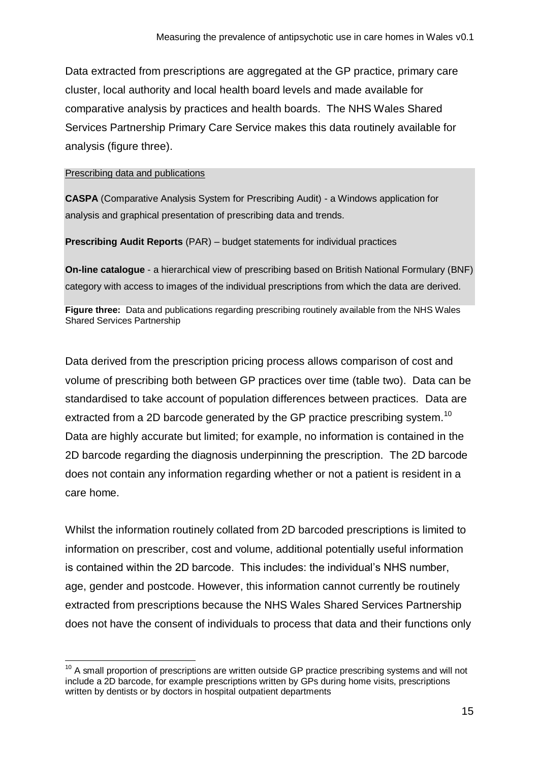Data extracted from prescriptions are aggregated at the GP practice, primary care cluster, local authority and local health board levels and made available for comparative analysis by practices and health boards. The NHS Wales Shared Services Partnership Primary Care Service makes this data routinely available for analysis (figure three).

#### Prescribing data and publications

**CASPA** (Comparative Analysis System for Prescribing Audit) - a Windows application for analysis and graphical presentation of prescribing data and trends.

**Prescribing Audit Reports** (PAR) – budget statements for individual practices

**On-line catalogue** - a hierarchical view of prescribing based on British National Formulary (BNF) category with access to images of the individual prescriptions from which the data are derived.

**Figure three:** Data and publications regarding prescribing routinely available from the NHS Wales Shared Services Partnership

Data derived from the prescription pricing process allows comparison of cost and volume of prescribing both between GP practices over time (table two). Data can be standardised to take account of population differences between practices. Data are extracted from a 2D barcode generated by the GP practice prescribing system.<sup>10</sup> Data are highly accurate but limited; for example, no information is contained in the 2D barcode regarding the diagnosis underpinning the prescription. The 2D barcode does not contain any information regarding whether or not a patient is resident in a care home.

Whilst the information routinely collated from 2D barcoded prescriptions is limited to information on prescriber, cost and volume, additional potentially useful information is contained within the 2D barcode. This includes: the individual's NHS number, age, gender and postcode. However, this information cannot currently be routinely extracted from prescriptions because the NHS Wales Shared Services Partnership does not have the consent of individuals to process that data and their functions only

<sup>1</sup>  $10$  A small proportion of prescriptions are written outside GP practice prescribing systems and will not include a 2D barcode, for example prescriptions written by GPs during home visits, prescriptions written by dentists or by doctors in hospital outpatient departments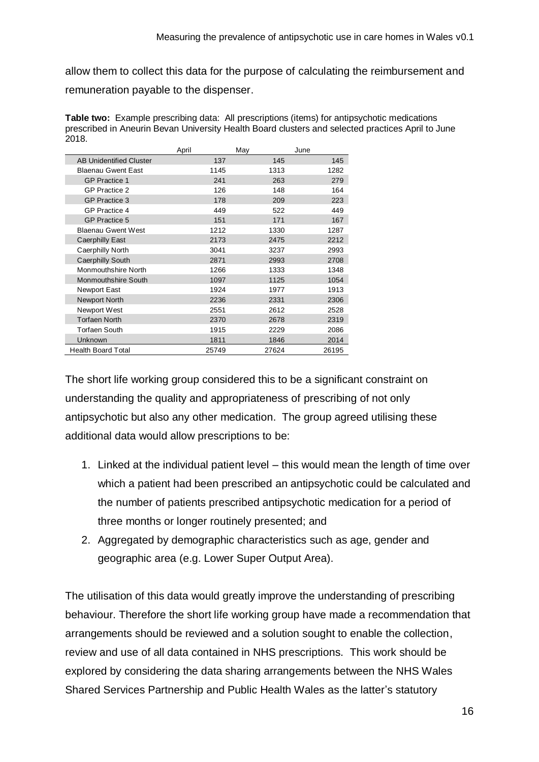allow them to collect this data for the purpose of calculating the reimbursement and remuneration payable to the dispenser.

**Table two:** Example prescribing data: All prescriptions (items) for antipsychotic medications prescribed in Aneurin Bevan University Health Board clusters and selected practices April to June 2018.

|                                | April | May   | June  |
|--------------------------------|-------|-------|-------|
| <b>AB Unidentified Cluster</b> | 137   | 145   | 145   |
| <b>Blaenau Gwent East</b>      | 1145  | 1313  | 1282  |
| <b>GP Practice 1</b>           | 241   | 263   | 279   |
| <b>GP Practice 2</b>           | 126   | 148   | 164   |
| <b>GP Practice 3</b>           | 178   | 209   | 223   |
| <b>GP Practice 4</b>           | 449   | 522   | 449   |
| <b>GP Practice 5</b>           | 151   | 171   | 167   |
| <b>Blaenau Gwent West</b>      | 1212  | 1330  | 1287  |
| Caerphilly East                | 2173  | 2475  | 2212  |
| Caerphilly North               | 3041  | 3237  | 2993  |
| <b>Caerphilly South</b>        | 2871  | 2993  | 2708  |
| <b>Monmouthshire North</b>     | 1266  | 1333  | 1348  |
| <b>Monmouthshire South</b>     | 1097  | 1125  | 1054  |
| Newport East                   | 1924  | 1977  | 1913  |
| <b>Newport North</b>           | 2236  | 2331  | 2306  |
| Newport West                   | 2551  | 2612  | 2528  |
| <b>Torfaen North</b>           | 2370  | 2678  | 2319  |
| <b>Torfaen South</b>           | 1915  | 2229  | 2086  |
| Unknown                        | 1811  | 1846  | 2014  |
| <b>Health Board Total</b>      | 25749 | 27624 | 26195 |

The short life working group considered this to be a significant constraint on understanding the quality and appropriateness of prescribing of not only antipsychotic but also any other medication. The group agreed utilising these additional data would allow prescriptions to be:

- 1. Linked at the individual patient level this would mean the length of time over which a patient had been prescribed an antipsychotic could be calculated and the number of patients prescribed antipsychotic medication for a period of three months or longer routinely presented; and
- 2. Aggregated by demographic characteristics such as age, gender and geographic area (e.g. Lower Super Output Area).

The utilisation of this data would greatly improve the understanding of prescribing behaviour. Therefore the short life working group have made a recommendation that arrangements should be reviewed and a solution sought to enable the collection, review and use of all data contained in NHS prescriptions. This work should be explored by considering the data sharing arrangements between the NHS Wales Shared Services Partnership and Public Health Wales as the latter's statutory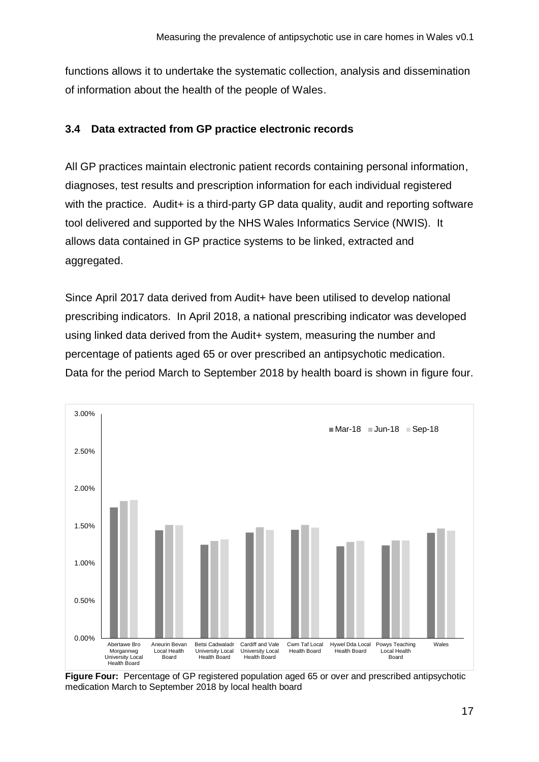functions allows it to undertake the systematic collection, analysis and dissemination of information about the health of the people of Wales.

#### <span id="page-16-0"></span>**3.4 Data extracted from GP practice electronic records**

All GP practices maintain electronic patient records containing personal information, diagnoses, test results and prescription information for each individual registered with the practice. Audit+ is a third-party GP data quality, audit and reporting software tool delivered and supported by the NHS Wales Informatics Service (NWIS). It allows data contained in GP practice systems to be linked, extracted and aggregated.

Since April 2017 data derived from Audit+ have been utilised to develop national prescribing indicators. In April 2018, a national prescribing indicator was developed using linked data derived from the Audit+ system, measuring the number and percentage of patients aged 65 or over prescribed an antipsychotic medication. Data for the period March to September 2018 by health board is shown in figure four.



**Figure Four:** Percentage of GP registered population aged 65 or over and prescribed antipsychotic medication March to September 2018 by local health board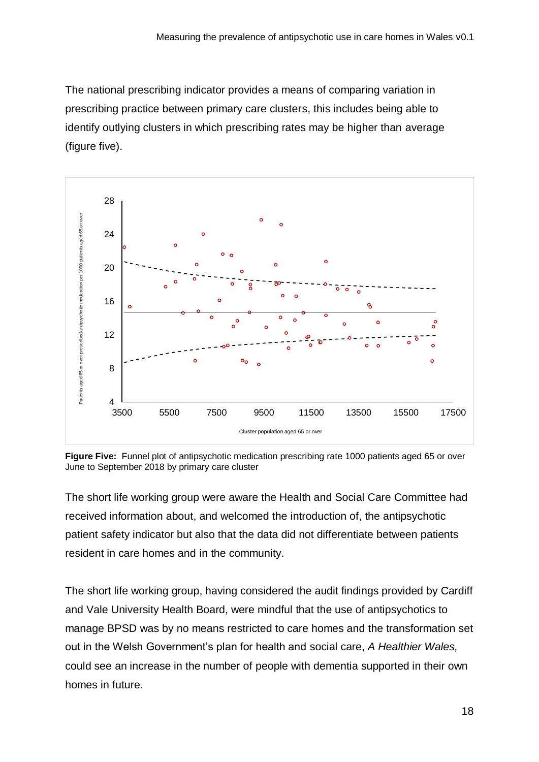The national prescribing indicator provides a means of comparing variation in prescribing practice between primary care clusters, this includes being able to identify outlying clusters in which prescribing rates may be higher than average (figure five).



**Figure Five:** Funnel plot of antipsychotic medication prescribing rate 1000 patients aged 65 or over June to September 2018 by primary care cluster

The short life working group were aware the Health and Social Care Committee had received information about, and welcomed the introduction of, the antipsychotic patient safety indicator but also that the data did not differentiate between patients resident in care homes and in the community.

The short life working group, having considered the audit findings provided by Cardiff and Vale University Health Board, were mindful that the use of antipsychotics to manage BPSD was by no means restricted to care homes and the transformation set out in the Welsh Government's plan for health and social care, *A Healthier Wales,*  could see an increase in the number of people with dementia supported in their own homes in future.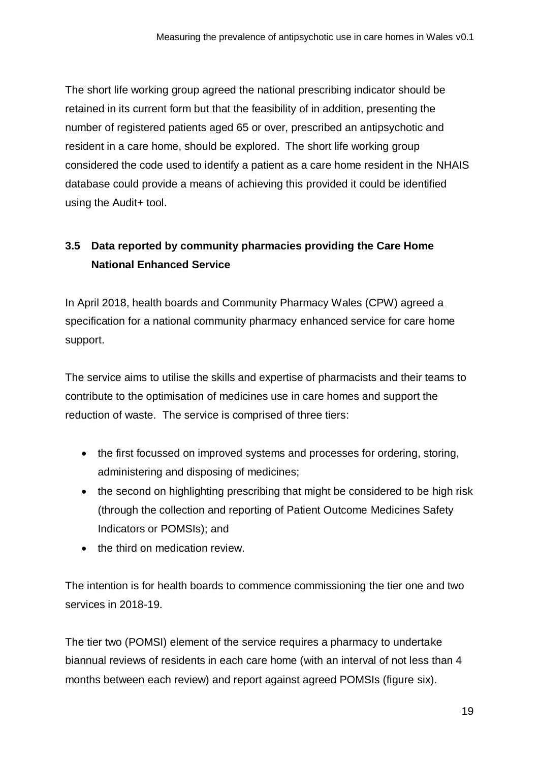The short life working group agreed the national prescribing indicator should be retained in its current form but that the feasibility of in addition, presenting the number of registered patients aged 65 or over, prescribed an antipsychotic and resident in a care home, should be explored. The short life working group considered the code used to identify a patient as a care home resident in the NHAIS database could provide a means of achieving this provided it could be identified using the Audit+ tool.

# <span id="page-18-0"></span>**3.5 Data reported by community pharmacies providing the Care Home National Enhanced Service**

In April 2018, health boards and Community Pharmacy Wales (CPW) agreed a specification for a national community pharmacy enhanced service for care home support.

The service aims to utilise the skills and expertise of pharmacists and their teams to contribute to the optimisation of medicines use in care homes and support the reduction of waste. The service is comprised of three tiers:

- the first focussed on improved systems and processes for ordering, storing, administering and disposing of medicines;
- the second on highlighting prescribing that might be considered to be high risk (through the collection and reporting of Patient Outcome Medicines Safety Indicators or POMSIs); and
- the third on medication review.

The intention is for health boards to commence commissioning the tier one and two services in 2018-19.

The tier two (POMSI) element of the service requires a pharmacy to undertake biannual reviews of residents in each care home (with an interval of not less than 4 months between each review) and report against agreed POMSIs (figure six).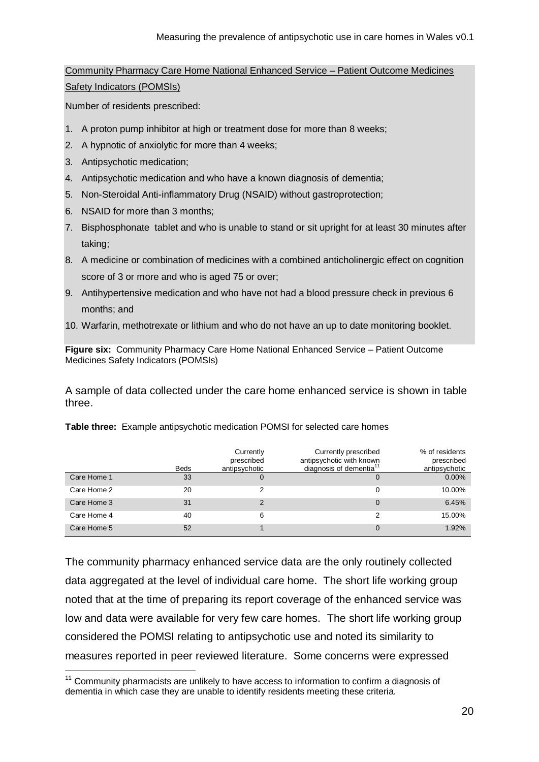Community Pharmacy Care Home National Enhanced Service – Patient Outcome Medicines

Safety Indicators (POMSIs)

Number of residents prescribed:

- 1. A proton pump inhibitor at high or treatment dose for more than 8 weeks;
- 2. A hypnotic of anxiolytic for more than 4 weeks;
- 3. Antipsychotic medication;

1

- 4. Antipsychotic medication and who have a known diagnosis of dementia;
- 5. Non-Steroidal Anti-inflammatory Drug (NSAID) without gastroprotection;
- 6. NSAID for more than 3 months;
- 7. Bisphosphonate tablet and who is unable to stand or sit upright for at least 30 minutes after taking;
- 8. A medicine or combination of medicines with a combined anticholinergic effect on cognition score of 3 or more and who is aged 75 or over;
- 9. Antihypertensive medication and who have not had a blood pressure check in previous 6 months; and
- 10. Warfarin, methotrexate or lithium and who do not have an up to date monitoring booklet.

**Figure six:** Community Pharmacy Care Home National Enhanced Service – Patient Outcome Medicines Safety Indicators (POMSIs)

A sample of data collected under the care home enhanced service is shown in table three.

|             | <b>Beds</b> | Currently<br>prescribed<br>antipsychotic | Currently prescribed<br>antipsychotic with known<br>diagnosis of dementia <sup>11</sup> | % of residents<br>prescribed<br>antipsychotic |
|-------------|-------------|------------------------------------------|-----------------------------------------------------------------------------------------|-----------------------------------------------|
| Care Home 1 | 33          | 0                                        |                                                                                         | $0.00\%$                                      |
| Care Home 2 | 20          | 2                                        |                                                                                         | 10.00%                                        |
| Care Home 3 | 31          | 2                                        | $\Omega$                                                                                | 6.45%                                         |
| Care Home 4 | 40          | 6                                        | 2                                                                                       | 15.00%                                        |
| Care Home 5 | 52          |                                          |                                                                                         | 1.92%                                         |

**Table three:** Example antipsychotic medication POMSI for selected care homes

The community pharmacy enhanced service data are the only routinely collected data aggregated at the level of individual care home. The short life working group noted that at the time of preparing its report coverage of the enhanced service was low and data were available for very few care homes. The short life working group considered the POMSI relating to antipsychotic use and noted its similarity to measures reported in peer reviewed literature. Some concerns were expressed

 $11$  Community pharmacists are unlikely to have access to information to confirm a diagnosis of dementia in which case they are unable to identify residents meeting these criteria.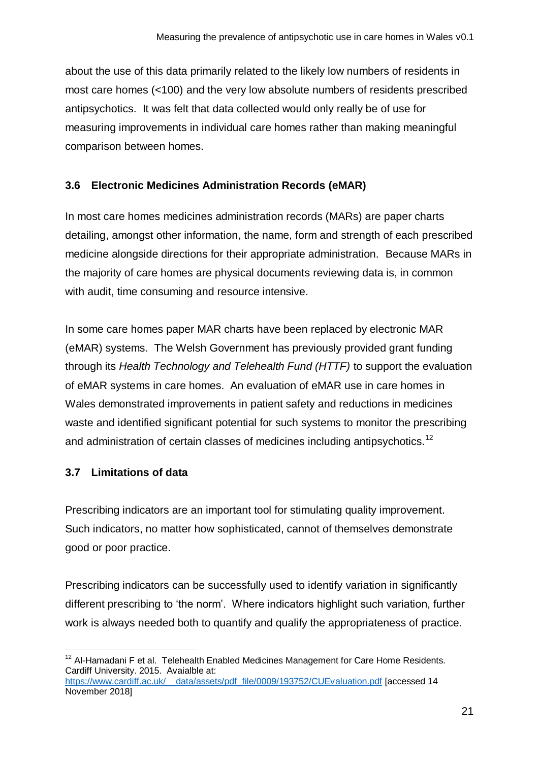about the use of this data primarily related to the likely low numbers of residents in most care homes (<100) and the very low absolute numbers of residents prescribed antipsychotics. It was felt that data collected would only really be of use for measuring improvements in individual care homes rather than making meaningful comparison between homes.

### <span id="page-20-0"></span>**3.6 Electronic Medicines Administration Records (eMAR)**

In most care homes medicines administration records (MARs) are paper charts detailing, amongst other information, the name, form and strength of each prescribed medicine alongside directions for their appropriate administration. Because MARs in the majority of care homes are physical documents reviewing data is, in common with audit, time consuming and resource intensive.

In some care homes paper MAR charts have been replaced by electronic MAR (eMAR) systems. The Welsh Government has previously provided grant funding through its *Health Technology and Telehealth Fund (HTTF)* to support the evaluation of eMAR systems in care homes. An evaluation of eMAR use in care homes in Wales demonstrated improvements in patient safety and reductions in medicines waste and identified significant potential for such systems to monitor the prescribing and administration of certain classes of medicines including antipsychotics.<sup>12</sup>

#### <span id="page-20-1"></span>**3.7 Limitations of data**

Prescribing indicators are an important tool for stimulating quality improvement. Such indicators, no matter how sophisticated, cannot of themselves demonstrate good or poor practice.

Prescribing indicators can be successfully used to identify variation in significantly different prescribing to 'the norm'. Where indicators highlight such variation, further work is always needed both to quantify and qualify the appropriateness of practice.

 $\overline{a}$  $12$  Al-Hamadani F et al. Telehealth Enabled Medicines Management for Care Home Residents. Cardiff University. 2015. Avaialble at:

https://www.cardiff.ac.uk/ data/assets/pdf file/0009/193752/CUEvaluation.pdf [accessed 14 November 2018]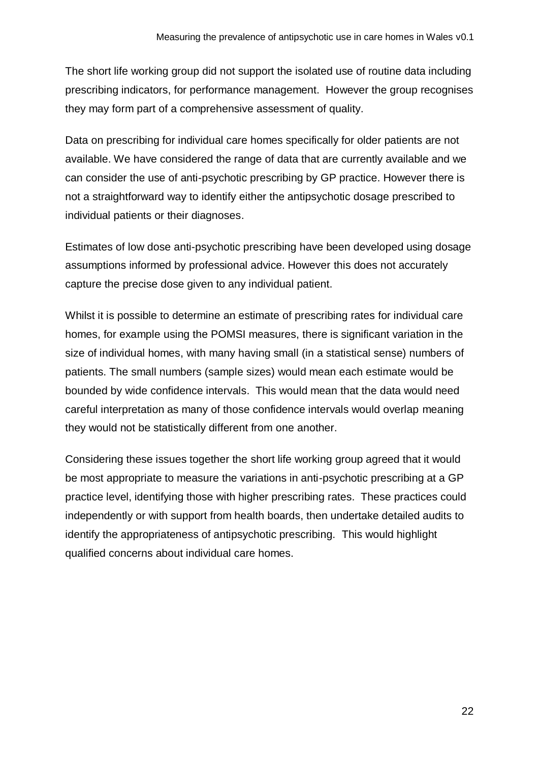The short life working group did not support the isolated use of routine data including prescribing indicators, for performance management. However the group recognises they may form part of a comprehensive assessment of quality.

Data on prescribing for individual care homes specifically for older patients are not available. We have considered the range of data that are currently available and we can consider the use of anti-psychotic prescribing by GP practice. However there is not a straightforward way to identify either the antipsychotic dosage prescribed to individual patients or their diagnoses.

Estimates of low dose anti-psychotic prescribing have been developed using dosage assumptions informed by professional advice. However this does not accurately capture the precise dose given to any individual patient.

Whilst it is possible to determine an estimate of prescribing rates for individual care homes, for example using the POMSI measures, there is significant variation in the size of individual homes, with many having small (in a statistical sense) numbers of patients. The small numbers (sample sizes) would mean each estimate would be bounded by wide confidence intervals. This would mean that the data would need careful interpretation as many of those confidence intervals would overlap meaning they would not be statistically different from one another.

Considering these issues together the short life working group agreed that it would be most appropriate to measure the variations in anti-psychotic prescribing at a GP practice level, identifying those with higher prescribing rates. These practices could independently or with support from health boards, then undertake detailed audits to identify the appropriateness of antipsychotic prescribing. This would highlight qualified concerns about individual care homes.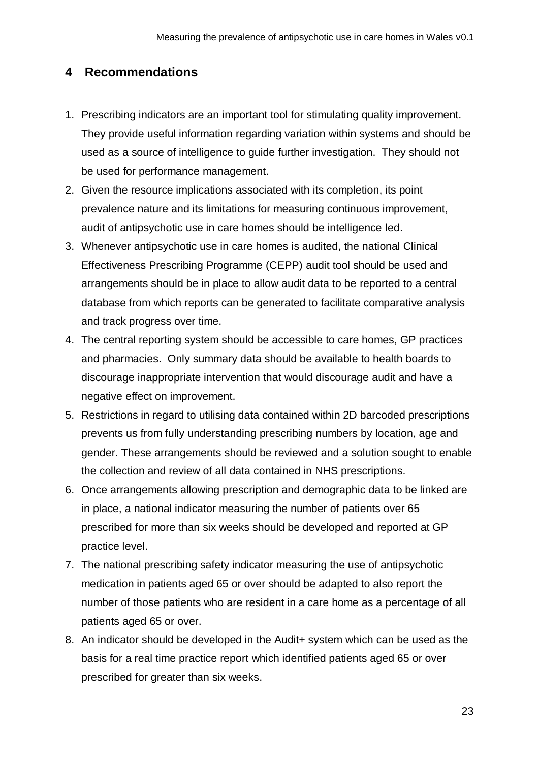### <span id="page-22-0"></span>**4 Recommendations**

- 1. Prescribing indicators are an important tool for stimulating quality improvement. They provide useful information regarding variation within systems and should be used as a source of intelligence to guide further investigation. They should not be used for performance management.
- 2. Given the resource implications associated with its completion, its point prevalence nature and its limitations for measuring continuous improvement, audit of antipsychotic use in care homes should be intelligence led.
- 3. Whenever antipsychotic use in care homes is audited, the national Clinical Effectiveness Prescribing Programme (CEPP) audit tool should be used and arrangements should be in place to allow audit data to be reported to a central database from which reports can be generated to facilitate comparative analysis and track progress over time.
- 4. The central reporting system should be accessible to care homes, GP practices and pharmacies. Only summary data should be available to health boards to discourage inappropriate intervention that would discourage audit and have a negative effect on improvement.
- 5. Restrictions in regard to utilising data contained within 2D barcoded prescriptions prevents us from fully understanding prescribing numbers by location, age and gender. These arrangements should be reviewed and a solution sought to enable the collection and review of all data contained in NHS prescriptions.
- 6. Once arrangements allowing prescription and demographic data to be linked are in place, a national indicator measuring the number of patients over 65 prescribed for more than six weeks should be developed and reported at GP practice level.
- 7. The national prescribing safety indicator measuring the use of antipsychotic medication in patients aged 65 or over should be adapted to also report the number of those patients who are resident in a care home as a percentage of all patients aged 65 or over.
- 8. An indicator should be developed in the Audit+ system which can be used as the basis for a real time practice report which identified patients aged 65 or over prescribed for greater than six weeks.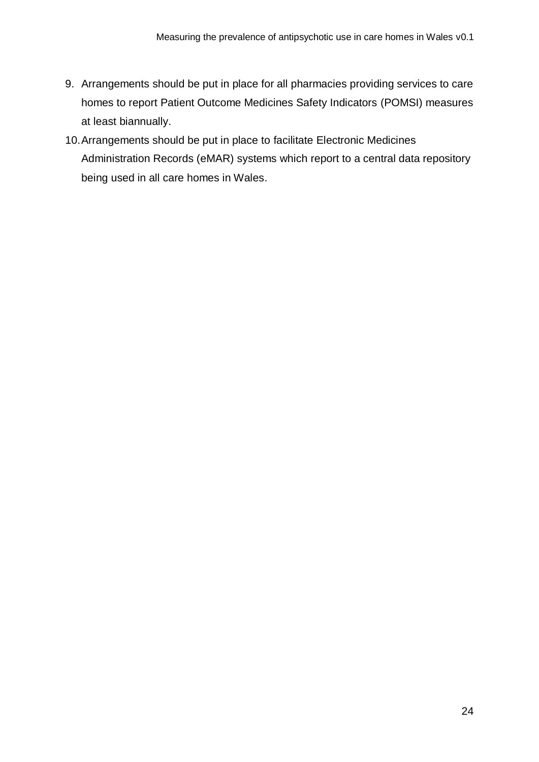- 9. Arrangements should be put in place for all pharmacies providing services to care homes to report Patient Outcome Medicines Safety Indicators (POMSI) measures at least biannually.
- 10.Arrangements should be put in place to facilitate Electronic Medicines Administration Records (eMAR) systems which report to a central data repository being used in all care homes in Wales.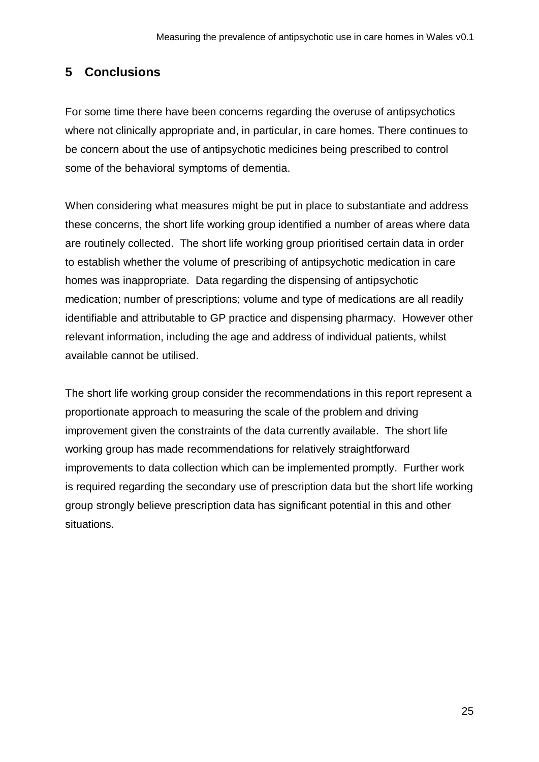## <span id="page-24-0"></span>**5 Conclusions**

For some time there have been concerns regarding the overuse of antipsychotics where not clinically appropriate and, in particular, in care homes. There continues to be concern about the use of antipsychotic medicines being prescribed to control some of the behavioral symptoms of dementia.

When considering what measures might be put in place to substantiate and address these concerns, the short life working group identified a number of areas where data are routinely collected. The short life working group prioritised certain data in order to establish whether the volume of prescribing of antipsychotic medication in care homes was inappropriate. Data regarding the dispensing of antipsychotic medication; number of prescriptions; volume and type of medications are all readily identifiable and attributable to GP practice and dispensing pharmacy. However other relevant information, including the age and address of individual patients, whilst available cannot be utilised.

The short life working group consider the recommendations in this report represent a proportionate approach to measuring the scale of the problem and driving improvement given the constraints of the data currently available. The short life working group has made recommendations for relatively straightforward improvements to data collection which can be implemented promptly. Further work is required regarding the secondary use of prescription data but the short life working group strongly believe prescription data has significant potential in this and other situations.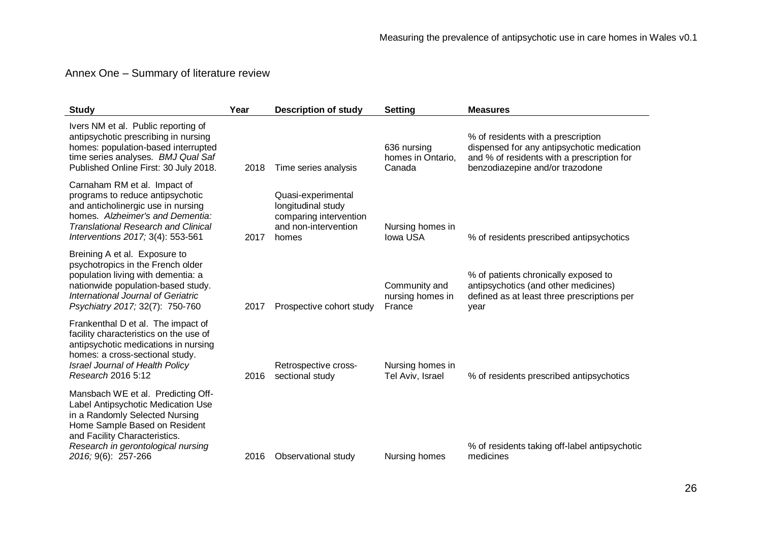### Annex One – Summary of literature review

<span id="page-25-0"></span>

| <b>Study</b>                                                                                                                                                                                                                              | Year | <b>Description of study</b>                                                                         | <b>Setting</b>                              | <b>Measures</b>                                                                                                                                                   |
|-------------------------------------------------------------------------------------------------------------------------------------------------------------------------------------------------------------------------------------------|------|-----------------------------------------------------------------------------------------------------|---------------------------------------------|-------------------------------------------------------------------------------------------------------------------------------------------------------------------|
| Ivers NM et al. Public reporting of<br>antipsychotic prescribing in nursing<br>homes: population-based interrupted<br>time series analyses. BMJ Qual Saf<br>Published Online First: 30 July 2018.                                         | 2018 | Time series analysis                                                                                | 636 nursing<br>homes in Ontario,<br>Canada  | % of residents with a prescription<br>dispensed for any antipsychotic medication<br>and % of residents with a prescription for<br>benzodiazepine and/or trazodone |
| Carnaham RM et al. Impact of<br>programs to reduce antipsychotic<br>and anticholinergic use in nursing<br>homes. Alzheimer's and Dementia:<br><b>Translational Research and Clinical</b><br>Interventions 2017; 3(4): 553-561             | 2017 | Quasi-experimental<br>longitudinal study<br>comparing intervention<br>and non-intervention<br>homes | Nursing homes in<br><b>Iowa USA</b>         | % of residents prescribed antipsychotics                                                                                                                          |
| Breining A et al. Exposure to<br>psychotropics in the French older<br>population living with dementia: a<br>nationwide population-based study.<br>International Journal of Geriatric<br>Psychiatry 2017; 32(7): 750-760                   | 2017 | Prospective cohort study                                                                            | Community and<br>nursing homes in<br>France | % of patients chronically exposed to<br>antipsychotics (and other medicines)<br>defined as at least three prescriptions per<br>year                               |
| Frankenthal D et al. The impact of<br>facility characteristics on the use of<br>antipsychotic medications in nursing<br>homes: a cross-sectional study.<br>Israel Journal of Health Policy<br>Research 2016 5:12                          | 2016 | Retrospective cross-<br>sectional study                                                             | Nursing homes in<br>Tel Aviv, Israel        | % of residents prescribed antipsychotics                                                                                                                          |
| Mansbach WE et al. Predicting Off-<br>Label Antipsychotic Medication Use<br>in a Randomly Selected Nursing<br>Home Sample Based on Resident<br>and Facility Characteristics.<br>Research in gerontological nursing<br>2016; 9(6): 257-266 | 2016 | Observational study                                                                                 | Nursing homes                               | % of residents taking off-label antipsychotic<br>medicines                                                                                                        |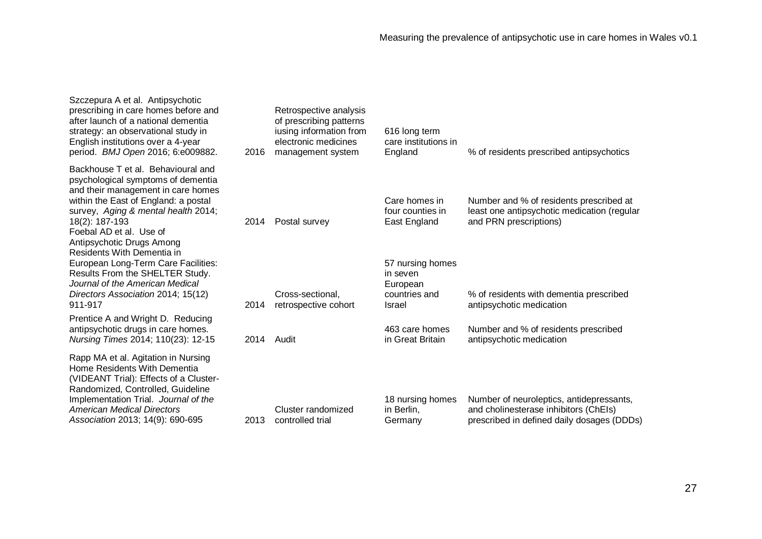| 2016 | Retrospective analysis<br>of prescribing patterns<br>iusing information from<br>electronic medicines<br>management system | 616 long term<br>care institutions in<br>England                    | % of residents prescribed antipsychotics                                                                                        |
|------|---------------------------------------------------------------------------------------------------------------------------|---------------------------------------------------------------------|---------------------------------------------------------------------------------------------------------------------------------|
| 2014 | Postal survey                                                                                                             | Care homes in<br>four counties in<br>East England                   | Number and % of residents prescribed at<br>least one antipsychotic medication (regular<br>and PRN prescriptions)                |
| 2014 | Cross-sectional,<br>retrospective cohort                                                                                  | 57 nursing homes<br>in seven<br>European<br>countries and<br>Israel | % of residents with dementia prescribed<br>antipsychotic medication                                                             |
| 2014 | Audit                                                                                                                     | 463 care homes<br>in Great Britain                                  | Number and % of residents prescribed<br>antipsychotic medication                                                                |
| 2013 | Cluster randomized<br>controlled trial                                                                                    | 18 nursing homes<br>in Berlin,<br>Germany                           | Number of neuroleptics, antidepressants,<br>and cholinesterase inhibitors (ChEIs)<br>prescribed in defined daily dosages (DDDs) |
|      |                                                                                                                           |                                                                     |                                                                                                                                 |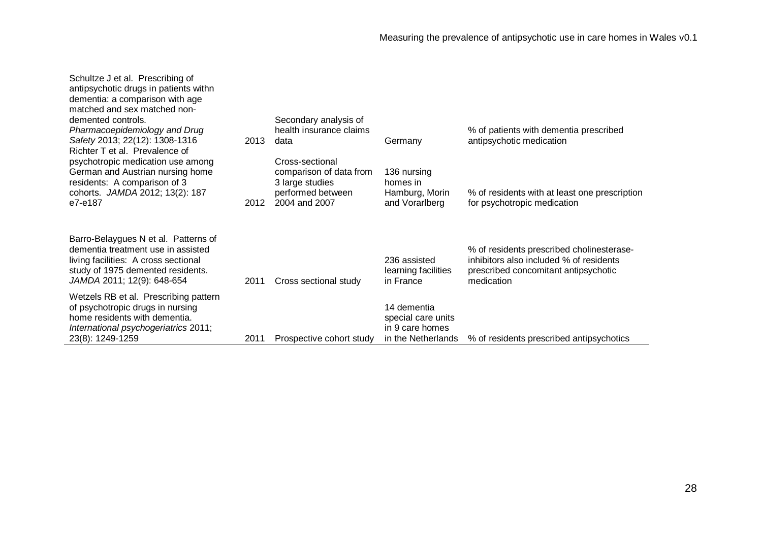| Schultze J et al. Prescribing of<br>antipsychotic drugs in patients withn<br>dementia: a comparison with age<br>matched and sex matched non-<br>demented controls.<br>Pharmacoepidemiology and Drug<br>Safety 2013; 22(12): 1308-1316 | 2013 | Secondary analysis of<br>health insurance claims<br>data                                            | Germany                                                                    | % of patients with dementia prescribed<br>antipsychotic medication                                                                         |
|---------------------------------------------------------------------------------------------------------------------------------------------------------------------------------------------------------------------------------------|------|-----------------------------------------------------------------------------------------------------|----------------------------------------------------------------------------|--------------------------------------------------------------------------------------------------------------------------------------------|
| Richter T et al. Prevalence of<br>psychotropic medication use among<br>German and Austrian nursing home<br>residents: A comparison of 3<br>cohorts. JAMDA 2012; 13(2): 187<br>e7-e187                                                 | 2012 | Cross-sectional<br>comparison of data from<br>3 large studies<br>performed between<br>2004 and 2007 | 136 nursing<br>homes in<br>Hamburg, Morin<br>and Vorarlberg                | % of residents with at least one prescription<br>for psychotropic medication                                                               |
| Barro-Belaygues N et al. Patterns of<br>dementia treatment use in assisted<br>living facilities: A cross sectional<br>study of 1975 demented residents.<br>JAMDA 2011; 12(9): 648-654                                                 | 2011 | Cross sectional study                                                                               | 236 assisted<br>learning facilities<br>in France                           | % of residents prescribed cholinesterase-<br>inhibitors also included % of residents<br>prescribed concomitant antipsychotic<br>medication |
| Wetzels RB et al. Prescribing pattern<br>of psychotropic drugs in nursing<br>home residents with dementia.<br>International psychogeriatrics 2011;<br>23(8): 1249-1259                                                                | 2011 | Prospective cohort study                                                                            | 14 dementia<br>special care units<br>in 9 care homes<br>in the Netherlands | % of residents prescribed antipsychotics                                                                                                   |